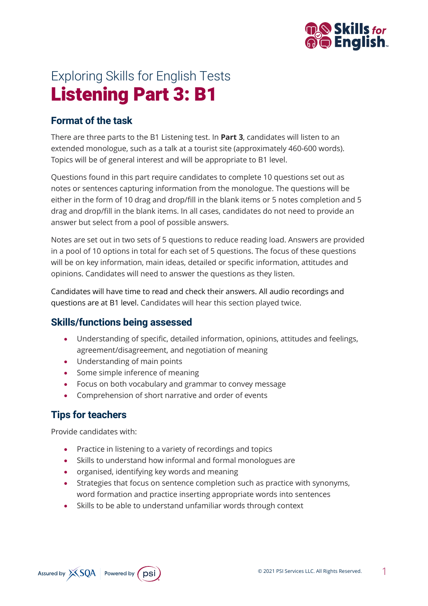

# Exploring Skills for English Tests Listening Part 3: B1

### **Format of the task**

There are three parts to the B1 Listening test. In **Part 3**, candidates will listen to an extended monologue, such as a talk at a tourist site (approximately 460-600 words). Topics will be of general interest and will be appropriate to B1 level.

Questions found in this part require candidates to complete 10 questions set out as notes or sentences capturing information from the monologue. The questions will be either in the form of 10 drag and drop/fill in the blank items or 5 notes completion and 5 drag and drop/fill in the blank items. In all cases, candidates do not need to provide an answer but select from a pool of possible answers.

Notes are set out in two sets of 5 questions to reduce reading load. Answers are provided in a pool of 10 options in total for each set of 5 questions. The focus of these questions will be on key information, main ideas, detailed or specific information, attitudes and opinions. Candidates will need to answer the questions as they listen.

Candidates will have time to read and check their answers. All audio recordings and questions are at B1 level. Candidates will hear this section played twice.

#### **Skills/functions being assessed**

- Understanding of specific, detailed information, opinions, attitudes and feelings, agreement/disagreement, and negotiation of meaning
- Understanding of main points
- Some simple inference of meaning
- Focus on both vocabulary and grammar to convey message
- Comprehension of short narrative and order of events

## **Tips for teachers**

Provide candidates with:

- Practice in listening to a variety of recordings and topics
- Skills to understand how informal and formal monologues are
- organised, identifying key words and meaning
- Strategies that focus on sentence completion such as practice with synonyms, word formation and practice inserting appropriate words into sentences
- Skills to be able to understand unfamiliar words through context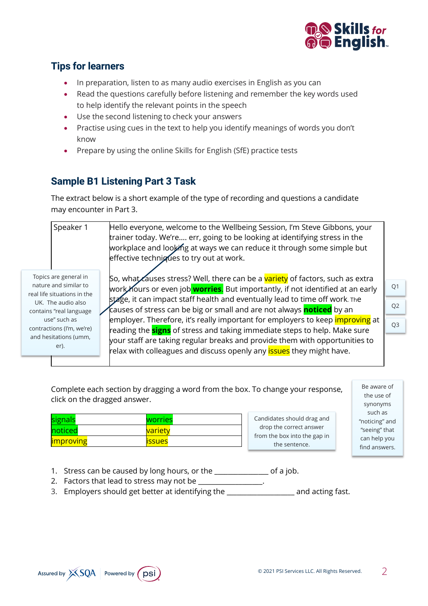

### **Tips for learners**

- In preparation, listen to as many audio exercises in English as you can
- Read the questions carefully before listening and remember the key words used to help identify the relevant points in the speech
- Use the second listening to check your answers
- Practise using cues in the text to help you identify meanings of words you don't know
- Prepare by using the online Skills for English (SfE) practice tests

#### **Sample B1 Listening Part 3 Task**

The extract below is a short example of the type of recording and questions a candidate may encounter in Part 3.

| Hello everyone, welcome to the Wellbeing Session, I'm Steve Gibbons, your<br>Speaker 1<br>trainer today. We're err, going to be looking at identifying stress in the<br>workplace and looking at ways we can reduce it through some simple but<br>effective techniques to try out at work. |                |
|--------------------------------------------------------------------------------------------------------------------------------------------------------------------------------------------------------------------------------------------------------------------------------------------|----------------|
| Topics are general in<br>So, what causes stress? Well, there can be a variety of factors, such as extra<br>nature and similar to<br>work hours or even job <b>worries</b> . But importantly, if not identified at an early<br>real life situations in the                                  | Q <sub>1</sub> |
| stage, it can impact staff health and eventually lead to time off work. The<br>UK. The audio also<br>causes of stress can be big or small and are not always <mark>noticed</mark> by an<br>contains "real language                                                                         | Q <sub>2</sub> |
| employer. Therefore, it's really important for employers to keep <i>improving</i> at<br>use" such as<br>contractions (I'm, we're)<br>reading the <b>signs</b> of stress and taking immediate steps to help. Make sure                                                                      | Q <sub>3</sub> |
| and hesitations (umm,<br>your staff are taking regular breaks and provide them with opportunities to<br>er).<br>relax with colleagues and discuss openly any <b>issues</b> they might have.                                                                                                |                |

Complete each section by dragging a word from the box. To change your response, click on the dragged answer.

| signals           | worries              |  |
|-------------------|----------------------|--|
| noticed           | <mark>varietv</mark> |  |
| <b>limproving</b> | <b>issues</b>        |  |

Candidates should drag and drop the correct answer from the box into the gap in the sentence.

Be aware of the use of synonyms such as "noticing" and "seeing" that can help you find answers.

- 1. Stress can be caused by long hours, or the \_\_\_\_\_\_\_\_\_\_\_\_\_\_\_\_ of a job.
- 2. Factors that lead to stress may not be \_\_\_\_\_\_\_\_\_\_\_\_\_\_\_\_\_.
- 3. Employers should get better at identifying the \_\_\_\_\_\_\_\_\_\_\_\_\_\_\_\_\_\_\_\_ and acting fast.